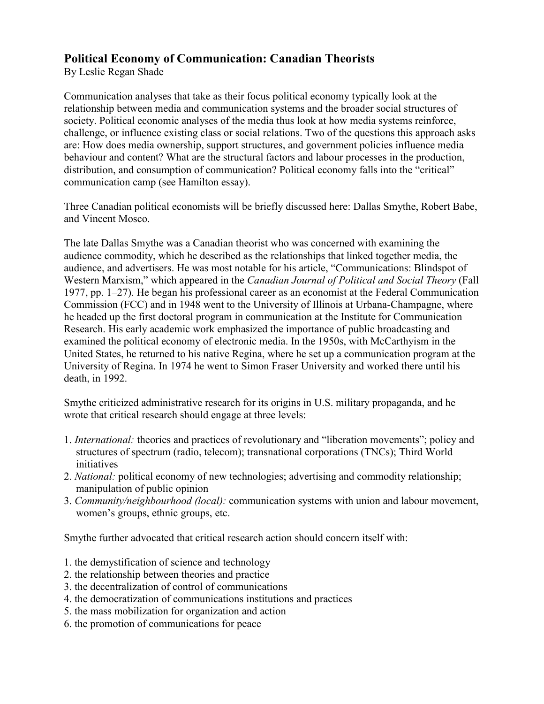## **Political Economy of Communication: Canadian Theorists**

By Leslie Regan Shade

Communication analyses that take as their focus political economy typically look at the relationship between media and communication systems and the broader social structures of society. Political economic analyses of the media thus look at how media systems reinforce, challenge, or influence existing class or social relations. Two of the questions this approach asks are: How does media ownership, support structures, and government policies influence media behaviour and content? What are the structural factors and labour processes in the production, distribution, and consumption of communication? Political economy falls into the "critical" communication camp (see Hamilton essay).

Three Canadian political economists will be briefly discussed here: Dallas Smythe, Robert Babe, and Vincent Mosco.

The late Dallas Smythe was a Canadian theorist who was concerned with examining the audience commodity, which he described as the relationships that linked together media, the audience, and advertisers. He was most notable for his article, "Communications: Blindspot of Western Marxism," which appeared in the *Canadian Journal of Political and Social Theory* (Fall 1977, pp. 1–27). He began his professional career as an economist at the Federal Communication Commission (FCC) and in 1948 went to the University of Illinois at Urbana-Champagne, where he headed up the first doctoral program in communication at the Institute for Communication Research. His early academic work emphasized the importance of public broadcasting and examined the political economy of electronic media. In the 1950s, with McCarthyism in the United States, he returned to his native Regina, where he set up a communication program at the University of Regina. In 1974 he went to Simon Fraser University and worked there until his death, in 1992.

Smythe criticized administrative research for its origins in U.S. military propaganda, and he wrote that critical research should engage at three levels:

- 1. *International:* theories and practices of revolutionary and "liberation movements"; policy and structures of spectrum (radio, telecom); transnational corporations (TNCs); Third World initiatives
- 2. *National:* political economy of new technologies; advertising and commodity relationship; manipulation of public opinion
- 3. *Community/neighbourhood (local):* communication systems with union and labour movement, women's groups, ethnic groups, etc.

Smythe further advocated that critical research action should concern itself with:

- 1. the demystification of science and technology
- 2. the relationship between theories and practice
- 3. the decentralization of control of communications
- 4. the democratization of communications institutions and practices
- 5. the mass mobilization for organization and action
- 6. the promotion of communications for peace